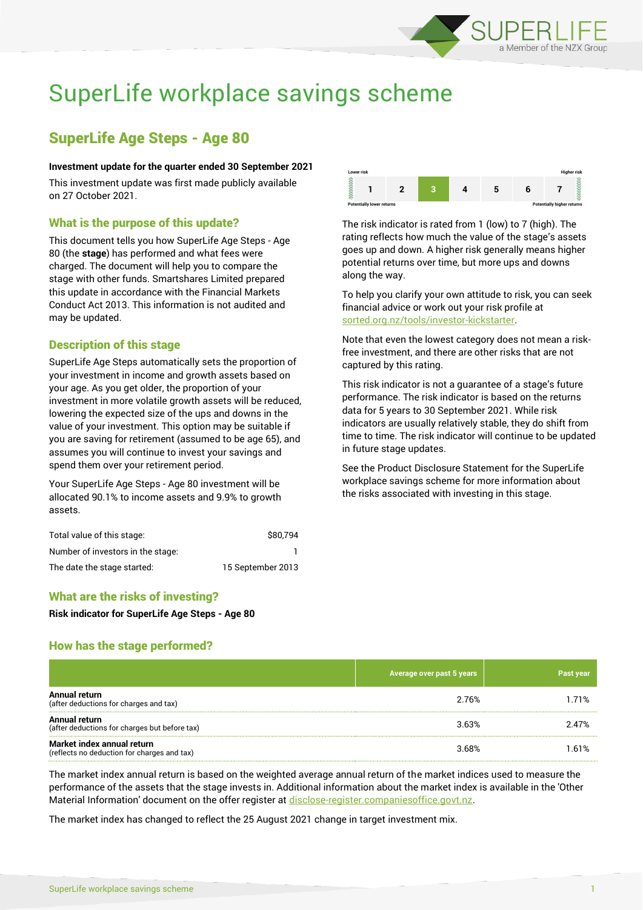

# SuperLife workplace savings scheme

## SuperLife Age Steps - Age 80

#### **Investment update for the quarter ended 30 September 2021**

This investment update was first made publicly available on 27 October 2021.

## What is the purpose of this update?

This document tells you how SuperLife Age Steps - Age 80 (the **stage**) has performed and what fees were charged. The document will help you to compare the stage with other funds. Smartshares Limited prepared this update in accordance with the Financial Markets Conduct Act 2013. This information is not audited and may be updated.

## Description of this stage

SuperLife Age Steps automatically sets the proportion of your investment in income and growth assets based on your age. As you get older, the proportion of your investment in more volatile growth assets will be reduced, lowering the expected size of the ups and downs in the value of your investment. This option may be suitable if you are saving for retirement (assumed to be age 65), and assumes you will continue to invest your savings and spend them over your retirement period.

Your SuperLife Age Steps - Age 80 investment will be allocated 90.1% to income assets and 9.9% to growth assets.

| Total value of this stage:        | \$80.794          |
|-----------------------------------|-------------------|
| Number of investors in the stage: |                   |
| The date the stage started:       | 15 September 2013 |

## What are the risks of investing?

**Risk indicator for SuperLife Age Steps - Age 80**

## How has the stage performed?

|                                                                           | Average over past 5 years | <b>Past year</b> |
|---------------------------------------------------------------------------|---------------------------|------------------|
| Annual return<br>(after deductions for charges and tax)                   | 2.76%                     | 1.71%            |
| Annual return<br>(after deductions for charges but before tax)            | 3.63%                     | 2.47%            |
| Market index annual return<br>(reflects no deduction for charges and tax) | 3.68%                     | 1.61%            |

The market index annual return is based on the weighted average annual return of the market indices used to measure the performance of the assets that the stage invests in. Additional information about the market index is available in the 'Other Material Information' document on the offer register at [disclose-register.companiesoffice.govt.nz.](http://www.disclose-register.companiesoffice.govt.nz/)

The market index has changed to reflect the 25 August 2021 change in target investment mix.



The risk indicator is rated from 1 (low) to 7 (high). The rating reflects how much the value of the stage's assets goes up and down. A higher risk generally means higher potential returns over time, but more ups and downs along the way.

To help you clarify your own attitude to risk, you can seek financial advice or work out your risk profile at [sorted.org.nz/tools/investor-kickstarter.](http://www.sorted.org.nz/tools/investor-kickstarter)

Note that even the lowest category does not mean a riskfree investment, and there are other risks that are not captured by this rating.

This risk indicator is not a guarantee of a stage's future performance. The risk indicator is based on the returns data for 5 years to 30 September 2021. While risk indicators are usually relatively stable, they do shift from time to time. The risk indicator will continue to be updated in future stage updates.

See the Product Disclosure Statement for the SuperLife workplace savings scheme for more information about the risks associated with investing in this stage.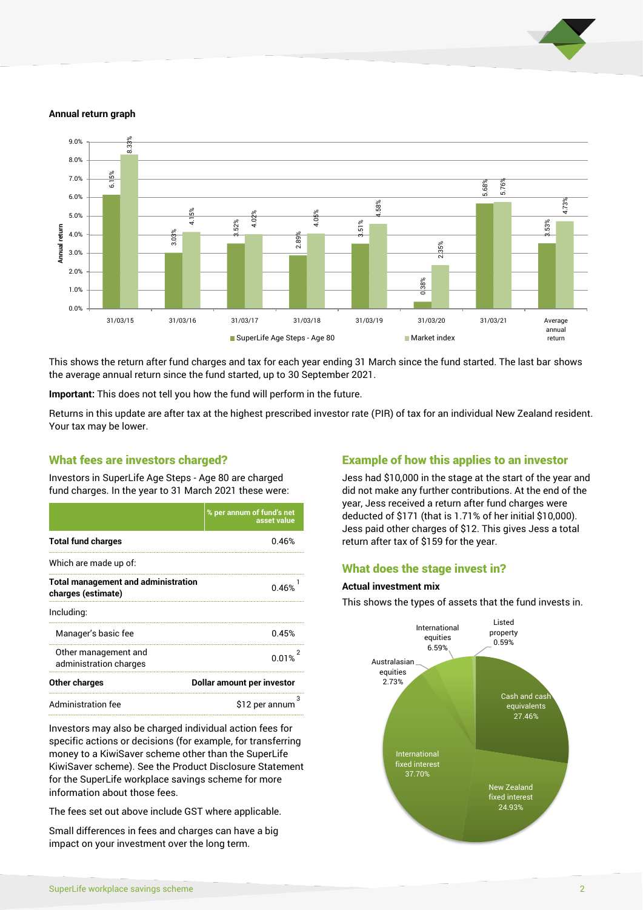

#### **Annual return graph**



This shows the return after fund charges and tax for each year ending 31 March since the fund started. The last bar shows the average annual return since the fund started, up to 30 September 2021.

**Important:** This does not tell you how the fund will perform in the future.

Returns in this update are after tax at the highest prescribed investor rate (PIR) of tax for an individual New Zealand resident. Your tax may be lower.

#### What fees are investors charged?

Investors in SuperLife Age Steps - Age 80 are charged fund charges. In the year to 31 March 2021 these were:

|                                                                  | % per annum of fund's net<br>asset value |  |
|------------------------------------------------------------------|------------------------------------------|--|
| <b>Total fund charges</b>                                        | 0.46%                                    |  |
| Which are made up of:                                            |                                          |  |
| <b>Total management and administration</b><br>charges (estimate) | 0.46%                                    |  |
| Including:                                                       |                                          |  |
| Manager's basic fee                                              | 0.45%                                    |  |
| Other management and<br>administration charges                   | 0.01%                                    |  |
| Other charges                                                    | Dollar amount per investor               |  |
| <b>Administration fee</b>                                        | \$12 per annum                           |  |

Investors may also be charged individual action fees for specific actions or decisions (for example, for transferring money to a KiwiSaver scheme other than the SuperLife KiwiSaver scheme). See the Product Disclosure Statement for the SuperLife workplace savings scheme for more information about those fees.

The fees set out above include GST where applicable.

Small differences in fees and charges can have a big impact on your investment over the long term.

## Example of how this applies to an investor

Jess had \$10,000 in the stage at the start of the year and did not make any further contributions. At the end of the year, Jess received a return after fund charges were deducted of \$171 (that is 1.71% of her initial \$10,000). Jess paid other charges of \$12. This gives Jess a total return after tax of \$159 for the year.

## What does the stage invest in?

#### **Actual investment mix**

This shows the types of assets that the fund invests in.

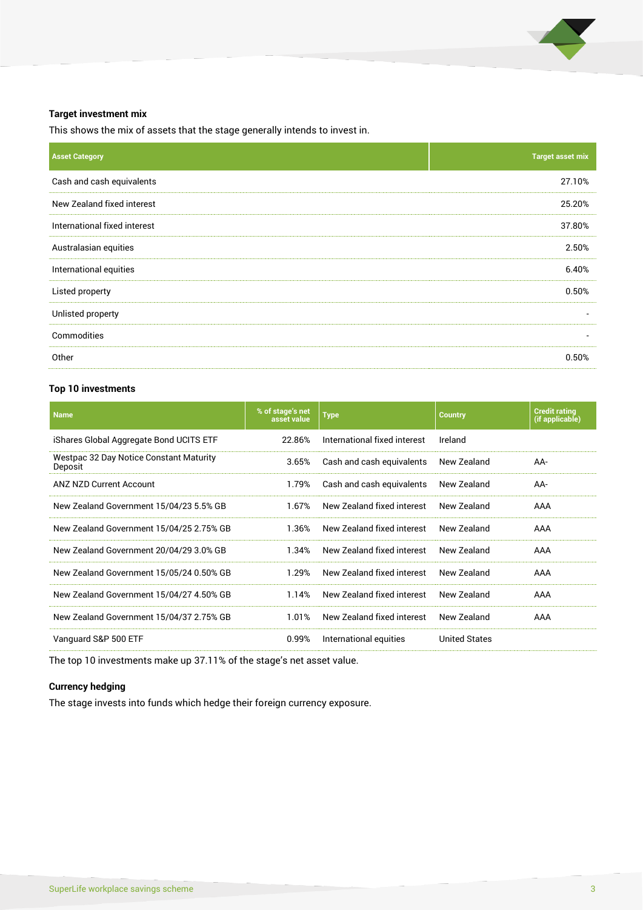

### **Target investment mix**

This shows the mix of assets that the stage generally intends to invest in.

| <b>Asset Category</b>        | <b>Target asset mix</b>  |
|------------------------------|--------------------------|
| Cash and cash equivalents    | 27.10%                   |
| New Zealand fixed interest   | 25.20%                   |
| International fixed interest | 37.80%                   |
| Australasian equities        | 2.50%                    |
| International equities       | 6.40%                    |
| Listed property              | 0.50%                    |
| Unlisted property            |                          |
| Commodities                  | $\overline{\phantom{a}}$ |
| Other                        | 0.50%                    |

## **Top 10 investments**

| <b>Name</b>                                        | % of stage's net<br>asset value | <b>Type</b>                  | <b>Country</b>       | <b>Credit rating</b><br>(if applicable) |
|----------------------------------------------------|---------------------------------|------------------------------|----------------------|-----------------------------------------|
| iShares Global Aggregate Bond UCITS ETF            | 22.86%                          | International fixed interest | Ireland              |                                         |
| Westpac 32 Day Notice Constant Maturity<br>Deposit | 3.65%                           | Cash and cash equivalents    | New Zealand          | AA-                                     |
| <b>ANZ NZD Current Account</b>                     | 1.79%                           | Cash and cash equivalents    | New Zealand          | AA-                                     |
| New Zealand Government 15/04/23 5.5% GB            | 1.67%                           | New Zealand fixed interest   | New Zealand          | AAA                                     |
| New Zealand Government 15/04/25 2.75% GB           | 1.36%                           | New Zealand fixed interest   | New Zealand          | AAA                                     |
| New Zealand Government 20/04/29 3.0% GB            | 1.34%                           | New Zealand fixed interest   | New Zealand          | AAA                                     |
| New Zealand Government 15/05/24 0.50% GB           | 1.29%                           | New Zealand fixed interest   | New Zealand          | AAA                                     |
| New Zealand Government 15/04/27 4.50% GB           | 1.14%                           | New Zealand fixed interest   | New Zealand          | AAA                                     |
| New Zealand Government 15/04/37 2.75% GB           | 1.01%                           | New Zealand fixed interest   | New Zealand          | AAA                                     |
| Vanguard S&P 500 ETF                               | 0.99%                           | International equities       | <b>United States</b> |                                         |
|                                                    |                                 |                              |                      |                                         |

The top 10 investments make up 37.11% of the stage's net asset value.

## **Currency hedging**

The stage invests into funds which hedge their foreign currency exposure.